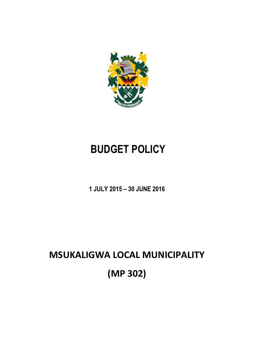

# **BUDGET POLICY**

**1 JULY 2015 – 30 JUNE 2016**

# **MSUKALIGWA LOCAL MUNICIPALITY (MP 302)**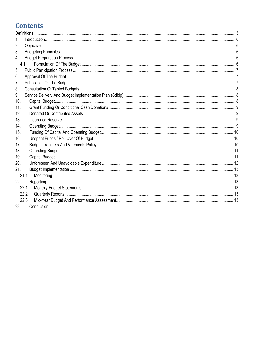## **Contents**

| 1.  |       |  |  |
|-----|-------|--|--|
| 2.  |       |  |  |
| 3.  |       |  |  |
| 4.  |       |  |  |
|     | 4.1.  |  |  |
| 5.  |       |  |  |
| 6.  |       |  |  |
| 7.  |       |  |  |
| 8.  |       |  |  |
| 9.  |       |  |  |
| 10. |       |  |  |
| 11. |       |  |  |
| 12. |       |  |  |
| 13. |       |  |  |
| 14. |       |  |  |
| 15. |       |  |  |
| 16. |       |  |  |
| 17. |       |  |  |
| 18. |       |  |  |
| 19. |       |  |  |
| 20. |       |  |  |
| 21. |       |  |  |
|     | 21.1. |  |  |
| 22. |       |  |  |
|     | 22.1. |  |  |
|     | 22.2. |  |  |
|     | 22.3. |  |  |
| 23. |       |  |  |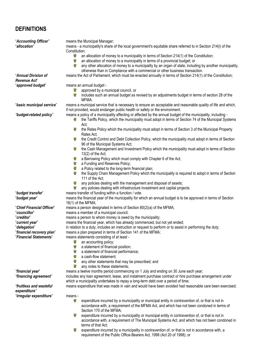### <span id="page-2-0"></span>**DEFINITIONS**

| "Accounting Officer"<br>"allocation"    | means the Municipal Manager;<br>means - a municipality's share of the local government's equitable share referred to in Section 214(I) of the                                                             |  |  |
|-----------------------------------------|-----------------------------------------------------------------------------------------------------------------------------------------------------------------------------------------------------------|--|--|
|                                         | Constitution;                                                                                                                                                                                             |  |  |
|                                         | 豪<br>an allocation of money to a municipality in terms of Section 214(1) of the Constitution;                                                                                                             |  |  |
|                                         | Ş<br>an allocation of money to a municipality in terms of a provincial budget; or                                                                                                                         |  |  |
|                                         | S.<br>any other allocation of money to a municipality by an organ of state, including by another municipality,                                                                                            |  |  |
|                                         | otherwise than in Compliance with a commercial or other business transaction.                                                                                                                             |  |  |
| "Annual Division of                     | means the Act of Parliament, which must be enacted annually in terms of Section 214(1) of the Constitution;                                                                                               |  |  |
| Revenue Act"                            |                                                                                                                                                                                                           |  |  |
| "approved budget"                       | means an annual budget -                                                                                                                                                                                  |  |  |
|                                         | 윻<br>approved by a municipal council, or                                                                                                                                                                  |  |  |
|                                         | includes such an annual budget as revised by an adjustments budget in terms of section 28 of the<br>MFMA.                                                                                                 |  |  |
| "basic municipal service"               | means a municipal service that is necessary to ensure an acceptable and reasonable quality of life and which,                                                                                             |  |  |
|                                         | if not provided, would endanger public health or safety or the environment.                                                                                                                               |  |  |
| "budget-related policy"                 | means a policy of a municipality affecting or affected by the annual budget of the municipality, including -                                                                                              |  |  |
|                                         | the Tariffs Policy, which the municipality must adopt in terms of Section 74 of the Municipal Systems<br>윷                                                                                                |  |  |
|                                         | Act;                                                                                                                                                                                                      |  |  |
|                                         | 윻<br>the Rates Policy which the municipality must adopt in terms of Section 3 of the Municipal Property                                                                                                   |  |  |
|                                         | Rates Act;                                                                                                                                                                                                |  |  |
|                                         | 웧<br>the Credit Control and Debt Collection Policy, which the municipality must adopt in terms of Section                                                                                                 |  |  |
|                                         | 96 of the Municipal Systems Act;                                                                                                                                                                          |  |  |
|                                         | 靀<br>the Cash Management and Investment Policy which the municipality must adopt in terms of Section<br>13(2) of the Act;                                                                                 |  |  |
|                                         | a Barrowing Policy which must comply with Chapter 6 of the Act;                                                                                                                                           |  |  |
|                                         | 웧<br>a Funding and Reserves Policy;                                                                                                                                                                       |  |  |
|                                         | 웧<br>a Policy related to the long-term financial plan;                                                                                                                                                    |  |  |
|                                         | 윻<br>the Supply Chain Management Policy which the municipality is required to adopt in terms of Section                                                                                                   |  |  |
|                                         | 111 of the Act;                                                                                                                                                                                           |  |  |
|                                         | Ş<br>any policies dealing with the management and disposal of assets;                                                                                                                                     |  |  |
|                                         | 鬘<br>any policies dealing with infrastructure investment and capital projects.                                                                                                                            |  |  |
| "budget transfer"                       | means transfer of funding within a function / vote.                                                                                                                                                       |  |  |
| "budget year"                           | means the financial year of the municipality for which an annual budget is to be approved in terms of Section<br>16(1) of the MFMA;                                                                       |  |  |
| "Chief Financial Officer"               | means a person designated in terms of Section 80(2)(a) of the MFMA;                                                                                                                                       |  |  |
| "councillor"                            | means a member of a municipal council;                                                                                                                                                                    |  |  |
| "creditor"                              | means a person to whom money is owed by the municipality;                                                                                                                                                 |  |  |
| "current year"                          | means the financial year, which has already commenced, but not yet ended;                                                                                                                                 |  |  |
| "delegation"                            | in relation to a duty, includes an instruction or request to perform or to assist in performing the duty;                                                                                                 |  |  |
| "financial recovery plan"               | means a plan prepared in terms of Section 141 of the MFMA;                                                                                                                                                |  |  |
| "Financial Statements"                  | means statements consisting of at least -                                                                                                                                                                 |  |  |
|                                         | 흏<br>an accounting policy;<br>Ş<br>a statement of financial position;                                                                                                                                     |  |  |
|                                         | 윻<br>a statement of financial performance;                                                                                                                                                                |  |  |
|                                         | 윻<br>a cash-flow statement;                                                                                                                                                                               |  |  |
|                                         | 웧<br>any other statements that may be prescribed; and                                                                                                                                                     |  |  |
|                                         | 휳<br>any notes to these statements;                                                                                                                                                                       |  |  |
| "financial year"                        | means a twelve months period commencing on 1 July and ending on 30 June each year;                                                                                                                        |  |  |
| "financing agreement"                   | includes any loan agreement, lease, and instalment purchase contract or hire purchase arrangement under                                                                                                   |  |  |
|                                         | which a municipality undertakes to repay a long-term debt over a period of time;                                                                                                                          |  |  |
| "fruitless and wasteful<br>expenditure" | means expenditure that was made in vain and would have been avoided had reasonable care been exercised;                                                                                                   |  |  |
| "irregular expenditure"                 | means -                                                                                                                                                                                                   |  |  |
|                                         | Ŷ.<br>expenditure incurred by a municipality or municipal entity in contravention of, or that is not in                                                                                                   |  |  |
|                                         | accordance with, a requirement of the MFMA Act, and which has not been condoned in terms of                                                                                                               |  |  |
|                                         | Section 170 of the MFMA;                                                                                                                                                                                  |  |  |
|                                         | expenditure incurred by a municipality or municipal entity in contravention of, or that is not in<br>鸞<br>accordance with, a requirement of The Municipal Systems Act, and which has not been condoned in |  |  |
|                                         | terms of that Act;                                                                                                                                                                                        |  |  |
|                                         |                                                                                                                                                                                                           |  |  |

expenditure incurred by a municipality in contravention of, or that is not in accordance with, a requirement of the Public Office-Bearers Act, 1998 (Act 20 of 1998); or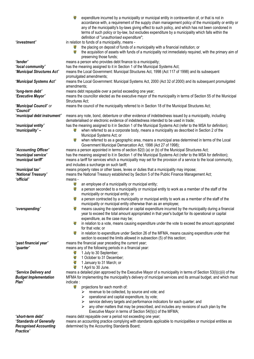|                                           | accordance with, a requirement of the supply chain management policy of the municipality or entity or<br>any of the municipality's by-laws giving effect to such policy, and which has not been condoned in<br>terms of such policy or by-law, but excludes expenditure by a municipality which falls within the |
|-------------------------------------------|------------------------------------------------------------------------------------------------------------------------------------------------------------------------------------------------------------------------------------------------------------------------------------------------------------------|
|                                           | definition of "unauthorised expenditure";                                                                                                                                                                                                                                                                        |
| "investment"                              | in relation to funds of a municipality, means -                                                                                                                                                                                                                                                                  |
|                                           | the placing on deposit of funds of a municipality with a financial institution; or<br>윻<br>the acquisition of assets with funds of a municipality not immediately required, with the primary aim of<br>preserving those funds;                                                                                   |
| "lender"                                  | means a person who provides debt finance to a municipality;                                                                                                                                                                                                                                                      |
| "local community"                         | has the meaning assigned to it in Section 1 of the Municipal Systems Act;                                                                                                                                                                                                                                        |
| "Municipal Structures Act"                | means the Local Government: Municipal Structures Act, 1998 (Act 117 of 1998) and its subsequent                                                                                                                                                                                                                  |
|                                           | promulgated amendments;                                                                                                                                                                                                                                                                                          |
| "Municipal Systems Act"                   | means the Local Government: Municipal Systems Act, 2000 (Act 32 of 2000) and its subsequent promulgated                                                                                                                                                                                                          |
|                                           | amendments;                                                                                                                                                                                                                                                                                                      |
| "long-term debt"<br>"Executive Mayor"     | means debt repayable over a period exceeding one year;<br>means the councillor elected as the executive mayor of the municipality in terms of Section 55 of the Municipal                                                                                                                                        |
|                                           | Structures Act;                                                                                                                                                                                                                                                                                                  |
| "Municipal Council" or                    | means the council of the municipality referred to in Section 18 of the Municipal Structures Act;                                                                                                                                                                                                                 |
| "Council"                                 |                                                                                                                                                                                                                                                                                                                  |
| "municipal debt instrument"               | means any note, bond, debenture or other evidence of indebtedness issued by a municipality, including                                                                                                                                                                                                            |
|                                           | dematerialised or electronic evidence of indebtedness intended to be used in trade;                                                                                                                                                                                                                              |
| "municipal entity"                        | has the meaning assigned to it in Section 1 of the Municipal Systems Act (refer to the MSA for definition);                                                                                                                                                                                                      |
| "municipality"-                           | when referred to as a corporate body, means a municipality as described in Section 2 of the<br>鬠                                                                                                                                                                                                                 |
|                                           | Municipal Systems Act; or                                                                                                                                                                                                                                                                                        |
|                                           | 靀<br>when referred to as a geographic area, means a municipal area determined in terms of the Local                                                                                                                                                                                                              |
| "Accounting Officer"                      | Government Municipal Demarcation Act, 1998 (Act 27 of 1998);<br>means a person appointed in terms of section 82(I) (a) or (b) of the Municipal Structures Act;                                                                                                                                                   |
| "municipal service"                       | has the meaning assigned to it in Section 1 of the Municipal Systems Act (refer to the MSA for definition);                                                                                                                                                                                                      |
| "municipal tariff"                        | means a tariff for services which a municipality may set for the provision of a service to the local community,                                                                                                                                                                                                  |
|                                           | and includes a surcharge on such tariff;                                                                                                                                                                                                                                                                         |
| "municipal tax"                           | means property rates or other taxes, levies or duties that a municipality may impose;                                                                                                                                                                                                                            |
| "National Treasury"                       | means the National Treasury established by Section 5 of the Public Finance Management Act;                                                                                                                                                                                                                       |
| "official"                                | means -                                                                                                                                                                                                                                                                                                          |
|                                           | 윻<br>an employee of a municipality or municipal entity;                                                                                                                                                                                                                                                          |
|                                           | ģ.<br>a person seconded to a municipality or municipal entity to work as a member of the staff of the                                                                                                                                                                                                            |
|                                           | municipality or municipal entity; or<br>웧<br>a person contracted by a municipality or municipal entity to work as a member of the staff of the                                                                                                                                                                   |
|                                           | municipality or municipal entity otherwise than as an employee;                                                                                                                                                                                                                                                  |
| "overspending"                            | 윻<br>means causing the operational or capital expenditure incurred by the municipality during a financial                                                                                                                                                                                                        |
|                                           | year to exceed the total amount appropriated in that year's budget for its operational or capital                                                                                                                                                                                                                |
|                                           | expenditure, as the case may be;                                                                                                                                                                                                                                                                                 |
|                                           | 鸞<br>in relation to a vote, means causing expenditure under the vote to exceed the amount appropriated                                                                                                                                                                                                           |
|                                           | for that vote; or                                                                                                                                                                                                                                                                                                |
|                                           | 윷<br>in relation to expenditure under Section 26 of the MFMA, means causing expenditure under that<br>section to exceed the limits allowed in subsection (5) of this section;                                                                                                                                    |
| "past financial year"                     | means the financial year preceding the current year;                                                                                                                                                                                                                                                             |
| "quarter"                                 | means any of the following periods in a financial year:                                                                                                                                                                                                                                                          |
|                                           | 1 July to 30 September;<br>윷                                                                                                                                                                                                                                                                                     |
|                                           | 靀<br>1 October to 31 December;                                                                                                                                                                                                                                                                                   |
|                                           | 靀<br>1 January to 31 March; or                                                                                                                                                                                                                                                                                   |
|                                           | 攀<br>1 April to 30 June.                                                                                                                                                                                                                                                                                         |
| "Service Delivery and                     | means a detailed plan approved by the Executive Mayor of a municipality in terms of Section 53(I)(c)(ii) of the                                                                                                                                                                                                  |
| <b>Budget Implementation</b><br>Plan"     | MFMA for implementing the municipality's delivery of municipal services and its annual budget, and which must<br>indicate:                                                                                                                                                                                       |
|                                           | 윻<br>projections for each month of:                                                                                                                                                                                                                                                                              |
|                                           | revenue to be collected, by source and vote; and                                                                                                                                                                                                                                                                 |
|                                           | operational and capital expenditure, by vote;                                                                                                                                                                                                                                                                    |
|                                           | service delivery targets and performance indicators for each quarter; and                                                                                                                                                                                                                                        |
|                                           | any other matters that may be prescribed, and includes any revisions of such plan by the<br>➤                                                                                                                                                                                                                    |
|                                           | Executive Mayor in terms of Section 54(I)(c) of the MFMA;                                                                                                                                                                                                                                                        |
| "short-term debt"                         | means debt repayable over a period not exceeding one year;                                                                                                                                                                                                                                                       |
| "Standards of Generally                   | means an accounting practice complying with standards applicable to municipalities or municipal entities as                                                                                                                                                                                                      |
| <b>Recognised Accounting</b><br>Practice" | determined by the Accounting Standards Board;                                                                                                                                                                                                                                                                    |

expenditure incurred by a municipality or municipal entity in contravention of, or that is not in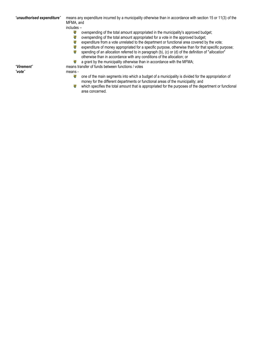*"unauthorised expenditure"* means any expenditure incurred by a municipality otherwise than in accordance with section 15 or 11(3) of the MFMA, and includes –

- overspending of the total amount appropriated in the municipality's approved budget;
- **e** overspending of the total amount appropriated for a vote in the approved budget;
- $\mathbf{e}$ expenditure from a vote unrelated to the department or functional area covered by the vote;
	- ig. expenditure of money appropriated for a specific purpose, otherwise than for that specific purpose;
	- **SE** spending of an allocation referred to in paragraph (b), (c) or (d) of the definition of "*allocation*" otherwise than in accordance with any conditions of the allocation; or
	- $\mathbf{e}$ a grant by the municipality otherwise than in accordance with the MFMA;

*"Virement"* means transfer of funds between functions / votes

*"vote"* means -

- 寥 one of the main segments into which a budget of a municipality is divided for the appropriation of
	- money for the different departments or functional areas of the municipality; and
	- **g** which specifies the total amount that is appropriated for the purposes of the department or functional area concerned.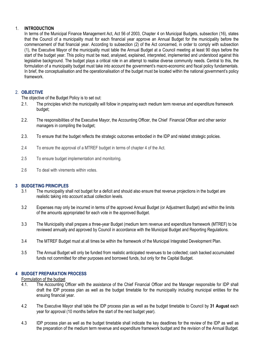#### <span id="page-5-0"></span>1. **INTRODUCTION**

In terms of the Municipal Finance Management Act, Act 56 of 2003, Chapter 4 on Municipal Budgets, subsection (16), states that the Council of a municipality must for each financial year approve an Annual Budget for the municipality before the commencement of that financial year. According to subsection (2) of the Act concerned, in order to comply with subsection (1), the Executive Mayor of the municipality must table the Annual Budget at a Council meeting at least 90 days before the start of the budget year. This policy must be read, analysed, explained, interpreted, implemented and understood against this legislative background. The budget plays a critical role in an attempt to realise diverse community needs. Central to this, the formulation of a municipality budget must take into account the government's macro-economic and fiscal policy fundamentals. In brief, the conceptualisation and the operationalisation of the budget must be located within the national government's policy framework.

#### <span id="page-5-1"></span>2. **OBJECTIVE**

The objective of the Budget Policy is to set out:

- 2.1. The principles which the municipality will follow in preparing each medium term revenue and expenditure framework budget;
- 2.2. The responsibilities of the Executive Mayor, the Accounting Officer, the Chief Financial Officer and other senior managers in compiling the budget;
- 2.3. To ensure that the budget reflects the strategic outcomes embodied in the IDP and related strategic policies.
- 2.4 To ensure the approval of a MTREF budget in terms of chapter 4 of the Act.
- 2.5 To ensure budget implementation and monitoring.
- <span id="page-5-2"></span>2.6 To deal with virements within votes.

#### **3 BUDGETING PRINCIPLES**

- 3.1 The municipality shall not budget for a deficit and should also ensure that revenue projections in the budget are realistic taking into account actual collection levels.
- 3.2 Expenses may only be incurred in terms of the approved Annual Budget (or Adjustment Budget) and within the limits of the amounts appropriated for each vote in the approved Budget.
- 3.3 The Municipality shall prepare a three-year Budget (medium term revenue and expenditure framework (MTREF) to be reviewed annually and approved by Council in accordance with the Municipal Budget and Reporting Regulations.
- 3.4 The MTREF Budget must at all times be within the framework of the Municipal Integrated Development Plan.
- 3.5 The Annual Budget will only be funded from realistic anticipated revenues to be collected; cash backed accumulated funds not committed for other purposes and borrowed funds, but only for the Capital Budget.

#### <span id="page-5-4"></span><span id="page-5-3"></span>**4 BUDGET PREPARATION PROCESS**

**Formulation of the budget**<br>4.1. The Accounting (

- 4.1. The Accounting Officer with the assistance of the Chief Financial Officer and the Manager responsible for IDP shall draft the IDP process plan as well as the budget timetable for the municipality including municipal entities for the ensuing financial year.
- 4.2 The Executive Mayor shall table the IDP process plan as well as the budget timetable to Council by **31 August** each year for approval (10 months before the start of the next budget year).
- 4.3 IDP process plan as well as the budget timetable shall indicate the key deadlines for the review of the IDP as well as the preparation of the medium term revenue and expenditure framework budget and the revision of the Annual Budget.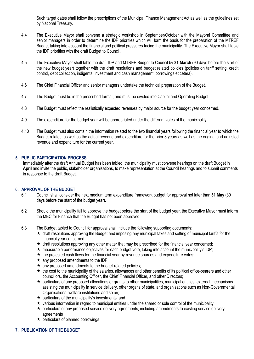Such target dates shall follow the prescriptions of the Municipal Finance Management Act as well as the guidelines set by National Treasury.

- 4.4 The Executive Mayor shall convene a strategic workshop in September/October with the Mayoral Committee and senior managers in order to determine the IDP priorities which will form the basis for the preparation of the MTREF Budget taking into account the financial and political pressures facing the municipality. The Executive Mayor shall table the IDP priorities with the draft Budget to Council.
- 4.5 The Executive Mayor shall table the draft IDP and MTREF Budget to Council by **31 March** (90 days before the start of the new budget year) together with the draft resolutions and budget related policies (policies on tariff setting, credit control, debt collection, indigents, investment and cash management, borrowings et cetera).
- 4.6 The Chief Financial Officer and senior managers undertake the technical preparation of the Budget.
- 4.7 The Budget must be in the prescribed format, and must be divided into Capital and Operating Budget.
- 4.8 The Budget must reflect the realistically expected revenues by major source for the budget year concerned.
- 4.9 The expenditure for the budget year will be appropriated under the different votes of the municipality.
- 4.10 The Budget must also contain the information related to the two financial years following the financial year to which the Budget relates, as well as the actual revenue and expenditure for the prior 3 years as well as the original and adjusted revenue and expenditure for the current year.

#### <span id="page-6-0"></span>**5 PUBLIC PARTICIPATION PROCESS**

Immediately after the draft Annual Budget has been tabled, the municipality must convene hearings on the draft Budget in **April** and invite the public, stakeholder organisations, to make representation at the Council hearings and to submit comments in response to the draft Budget.

#### <span id="page-6-1"></span>**6. APPROVAL OF THE BUDGET**

- 6.1 Council shall consider the next medium term expenditure framework budget for approval not later than **31 May** (30 days before the start of the budget year).
- 6.2 Should the municipality fail to approve the budget before the start of the budget year, the Executive Mayor must inform the MEC for Finance that the Budget has not been approved.
- 6.3 The Budget tabled to Council for approval shall include the following supporting documents:
	- $\star$  draft resolutions approving the Budget and imposing any municipal taxes and setting of municipal tariffs for the financial year concerned;
	- $\star$  draft resolutions approving any other matter that may be prescribed for the financial year concerned;
	- $\star$  measurable performance objectives for each budget vote, taking into account the municipality's IDP;
	- $\star$  the projected cash flows for the financial year by revenue sources and expenditure votes;
	- $\star$  any proposed amendments to the IDP:
	- $\star$  any proposed amendments to the budget-related policies;
	- $\star$  the cost to the municipality of the salaries, allowances and other benefits of its political office-bearers and other councillors, the Accounting Officer, the Chief Financial Officer, and other Directors;
	- particulars of any proposed allocations or grants to other municipalities, municipal entities, external mechanisms assisting the municipality in service delivery, other organs of state, and organisations such as Non-Governmental Organisations, welfare institutions and so on;
	- $\star$  particulars of the municipality's investments; and
	- $\star$  various information in regard to municipal entities under the shared or sole control of the municipality
	- $\star$  particulars of any proposed service delivery agreements, including amendments to existing service delivery agreements
	- $\star$  particulars of planned borrowings

#### <span id="page-6-2"></span>**7. PUBLICATION OF THE BUDGET**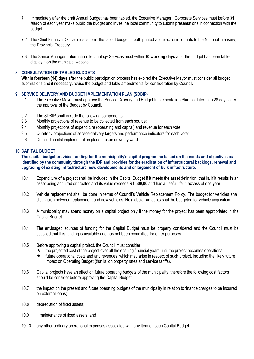- 7.1 Immediately after the draft Annual Budget has been tabled, the Executive Manager : Corporate Services must before **31 March** of each year make public the budget and invite the local community to submit presentations in connection with the budget.
- 7.2 The Chief Financial Officer must submit the tabled budget in both printed and electronic formats to the National Treasury, the Provincial Treasury.
- 7.3 The Senior Manager: Information Technology Services must within **10 working days** after the budget has been tabled display it on the municipal website.

#### <span id="page-7-0"></span>**8. CONSULTATION OF TABLED BUDGETS**

**Within fourteen (14) days** after the public participation process has expired the Executive Mayor must consider all budget submissions and if necessary, revise the budget and table amendments for consideration by Council.

#### <span id="page-7-1"></span>**9. SERVICE DELIVERY AND BUDGET IMPLEMENTATION PLAN (SDBIP)**

- 9.1 The Executive Mayor must approve the Service Delivery and Budget Implementation Plan not later than 28 days after the approval of the Budget by Council.
- 9.2 The SDBIP shall include the following components:
- 9.3 Monthly projections of revenue to be collected from each source;
- 9.4 Monthly projections of expenditure (operating and capital) and revenue for each vote;
- 9.5 Quarterly projections of service delivery targets and performance indicators for each vote;
- 9.6 Detailed capital implementation plans broken down by ward.

#### <span id="page-7-2"></span>**10 CAPITAL BUDGET**

**The capital budget provides funding for the municipality's capital programme based on the needs and objectives as identified by the community through the IDP and provides for the eradication of infrastructural backlogs, renewal and upgrading of existing infrastructure, new developments and enlargement of bulk infrastructure.**

- 10.1 Expenditure of a project shall be included in the Capital Budget if it meets the asset definition, that is, if it results in an asset being acquired or created and its value exceeds **R1 500,00** and has a useful life in excess of one year.
- 10.2 Vehicle replacement shall be done in terms of Council's Vehicle Replacement Policy. The budget for vehicles shall distinguish between replacement and new vehicles. No globular amounts shall be budgeted for vehicle acquisition.
- 10.3 A municipality may spend money on a capital project only if the money for the project has been appropriated in the Capital Budget.
- 10.4 The envisaged sources of funding for the Capital Budget must be properly considered and the Council must be satisfied that this funding is available and has not been committed for other purposes.
- 10.5 Before approving a capital project, the Council must consider:
	- $\star$  the projected cost of the project over all the ensuing financial years until the project becomes operational;
	- $\star$  future operational costs and any revenues, which may arise in respect of such project, including the likely future impact on Operating Budget (that is: on property rates and service tariffs).
- 10.6 Capital projects have an effect on future operating budgets of the municipality, therefore the following cost factors should be consider before approving the Capital Budget:
- 10.7 the impact on the present and future operating budgets of the municipality in relation to finance charges to be incurred on external loans;
- 10.8 depreciation of fixed assets;
- 10.9 maintenance of fixed assets; and
- 10.10 any other ordinary operational expenses associated with any item on such Capital Budget.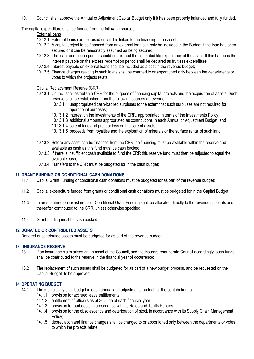10.11 Council shall approve the Annual or Adjustment Capital Budget only if it has been properly balanced and fully funded.

The capital expenditure shall be funded from the following sources:

#### External loans

- 10.12.1 External loans can be raised only if it is linked to the financing of an asset;
- 10.12.2 A capital project to be financed from an external loan can only be included in the Budget if the loan has been secured or it can be reasonably assumed as being secured;
- 10.12.3 The loan redemption period should not exceed the estimated life expectancy of the asset. If this happens the interest payable on the excess redemption period shall be declared as fruitless expenditure;
- 10.12.4 Interest payable on external loans shall be included as a cost in the revenue budget;
- 10.12.5 Finance charges relating to such loans shall be charged to or apportioned only between the departments or votes to which the projects relate.

#### Capital Replacement Reserve (CRR)

- 10.13.1 Council shall establish a CRR for the purpose of financing capital projects and the acquisition of assets. Such reserve shall be established from the following sources of revenue:
	- 10.13.1.1 unappropriated cash-backed surpluses to the extent that such surpluses are not required for operational purposes;
	- 10.13.1.2 interest on the investments of the CRR, appropriated in terms of the Investments Policy;
	- 10.13.1.3 additional amounts appropriated as contributions in each Annual or Adjustment Budget; and
	- 10.13.1.4 sale of land and profit or loss on the sale of assets;
	- 10.13.1.5 proceeds from royalties and the exploration of minerals or the surface rental of such land.
- 10.13.2 Before any asset can be financed from the CRR the financing must be available within the reserve and available as cash as this fund must be cash backed;
- 10.13.3 If there is insufficient cash available to fund the CRR this reserve fund must then be adjusted to equal the available cash;
- 10.13.4 Transfers to the CRR must be budgeted for in the cash budget;

#### <span id="page-8-0"></span>**11 GRANT FUNDING OR CONDITIONAL CASH DONATIONS**

- 11.1 Capital Grant Funding or conditional cash donations must be budgeted for as part of the revenue budget;
- 11.2 Capital expenditure funded from grants or conditional cash donations must be budgeted for in the Capital Budget;
- 11.3 Interest earned on investments of Conditional Grant Funding shall be allocated directly to the revenue accounts and thereafter contributed to the CRR, unless otherwise specified.
- 11.4 Grant funding must be cash backed.

#### <span id="page-8-1"></span>**12 DONATED OR CONTRIBUTED ASSETS**

Donated or contributed assets must be budgeted for as part of the revenue budget.

#### <span id="page-8-2"></span>**13 INSURANCE RESERVE**

- 13.1 If an insurance claim arises on an asset of the Council, and the insurers remunerate Council accordingly, such funds shall be contributed to the reserve in the financial year of occurrence;
- 13.2 The replacement of such assets shall be budgeted for as part of a new budget process, and be requested on the Capital Budget to be approved.

#### <span id="page-8-3"></span>**14 OPERATING BUDGET**

- 14.1 The municipality shall budget in each annual and adjustments budget for the contribution to:
	- 14.1.1 provision for accrued leave entitlements.
	- 14.1.2 entitlement of officials as at 30 June of each financial year;
	- 14.1.3 provision for bad debts in accordance with its Rates and Tariffs Policies;
	- 14.1.4 provision for the obsolescence and deterioration of stock in accordance with its Supply Chain Management Policy;
	- 14.1.5 depreciation and finance charges shall be charged to or apportioned only between the departments or votes to which the projects relate.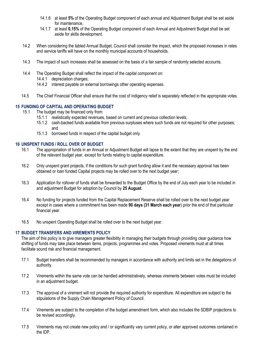- 14.1.6 at least **5%** of the Operating Budget component of each annual and Adjustment Budget shall be set aside for maintenance.
- 14.1.7 at least **0,15%** of the Operating Budget component of each Annual and Adjustment Budget shall be set aside for skills development.
- 14.2 When considering the tabled Annual Budget, Council shall consider the impact, which the proposed increases in rates and service tariffs will have on the monthly municipal accounts of households.
- 14.3 The impact of such increases shall be assessed on the basis of a fair sample of randomly selected accounts.
- 14.4 The Operating Budget shall reflect the impact of the capital component on:
	- 14.4.1 depreciation charges:
	- 14.4.2 interest payable on external borrowings other operating expenses.
- 14.5 The Chief Financial Officer shall ensure that the cost of indigency relief is separately reflected in the appropriate votes.

#### <span id="page-9-0"></span>**15 FUNDING OF CAPITAL AND OPERATING BUDGET**

- 15.1 The budget may be financed only from:
	- 15.1.1 realistically expected revenues, based on current and previous collection levels;
	- 15.1.2 cash-backed funds available from previous surpluses where such funds are not required for other purposes; and
	- 15.1.3 borrowed funds in respect of the capital budget only.

#### <span id="page-9-1"></span>**16 UNSPENT FUNDS / ROLL OVER OF BUDGET**

- 16.1 The appropriation of funds in an Annual or Adjustment Budget will lapse to the extent that they are unspent by the end of the relevant budget year, except for funds relating to capital expenditure.
- 16.2 Only unspent grant projects, if the conditions for such grant funding allow it and the necessary approval has been obtained or loan funded Capital projects may be rolled over to the next budget year;
- 16.3 Application for rollover of funds shall be forwarded to the Budget Office by the end of July each year to be included in and adjustment Budget for adoption by Council by **25 August**.
- 16.4 No funding for projects funded from the Capital Replacement Reserve shall be rolled over to the next budget year except in cases where a commitment has been made **90 days (31 March each year**) prior the end of that particular financial year.
- 16.5 No unspent Operating Budget shall be rolled over to the next budget year.

#### <span id="page-9-2"></span>**17 BUDGET TRANSFERS AND VIREMENTS POLICY**

The aim of this policy is to give managers greater flexibility in managing their budgets through providing clear guidance how shifting of funds may take place between items, projects, programmes and votes. Proposed virements must at all times facilitate sound risk and financial management.

- 17.1 Budget transfers shall be recommended by managers in accordance with authority and limits set in the delegations of authority.
- 17.2 Virements within the same vote can be handled administratively, whereas virements between votes must be included in an adjustment budget.
- 17.3 The approval of a virement will not provide the required authority for expenditure. All expenditure are subject to the stipulations of the Supply Chain Management Policy of Council.
- 17.4 Virements are subject to the completion of the budget amendment form, which also includes the SDBIP projections to be revised accordingly.
- 17.5 Virements may not create new policy and / or significantly vary current policy, or alter approved outcomes contained in the IDP.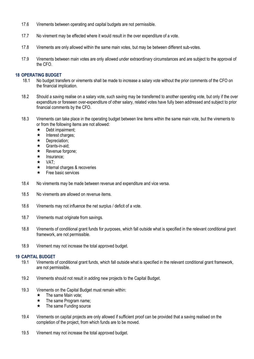- 17.6 Virements between operating and capital budgets are not permissible.
- 17.7 No virement may be effected where it would result in the over expenditure of a vote.
- 17.8 Virements are only allowed within the same main votes, but may be between different sub-votes.
- 17.9 Virements between main votes are only allowed under extraordinary circumstances and are subject to the approval of the CFO.

#### <span id="page-10-0"></span>**18 OPERATING BUDGET**

- 18.1 No budget transfers or virements shall be made to increase a salary vote without the prior comments of the CFO on the financial implication.
- 18.2 Should a saving realise on a salary vote, such saving may be transferred to another operating vote, but only if the over expenditure or foreseen over-expenditure of other salary, related votes have fully been addressed and subject to prior financial comments by the CFO.
- 18.3 Virements can take place in the operating budget between line items within the same main vote, but the virements to or from the following items are not allowed:
	- $\star$  Debt impairment;
	- $\star$  Interest charges;
	- $\star$  Depreciation;
	- $\star$  Grants-in-aid:
	- $\star$  Revenue forgone;
	- $\star$  Insurance:
	- $\star$  VAT:
	- $\star$  Internal charges & recoveries
	- $\star$  Free basic services
- 18.4 No virements may be made between revenue and expenditure and vice versa.
- 18.5 No virements are allowed on revenue items.
- 18.6 Virements may not influence the net surplus / deficit of a vote.
- 18.7 Virements must originate from savings.
- 18.8 Virements of conditional grant funds for purposes, which fall outside what is specified in the relevant conditional grant framework, are not permissible.
- 18.9 Virement may not increase the total approved budget.

#### <span id="page-10-1"></span>**19 CAPITAL BUDGET**

- 19.1 Virements of conditional grant funds, which fall outside what is specified in the relevant conditional grant framework, are not permissible.
- 19.2 Virements should not result in adding new projects to the Capital Budget.
- 19.3 Virements on the Capital Budget must remain within:
	- $\star$  The same Main vote;
	- $\star$  The same Program name;
	- $\star$  The same Funding source
- 19.4 Virements on capital projects are only allowed if sufficient proof can be provided that a saving realised on the completion of the project, from which funds are to be moved.
- 19.5 Virement may not increase the total approved budget.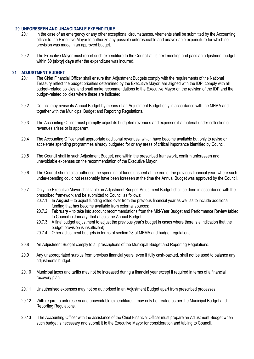#### <span id="page-11-0"></span>**20 UNFORESEEN AND UNAVOIDABLE EXPENDITURE**

- 20.1 In the case of an emergency or any other exceptional circumstances, virements shall be submitted by the Accounting officer to the Executive Mayor to authorize any possible unforeseeable and unavoidable expenditure for which no provision was made in an approved budget.
- 20.2 The Executive Mayor must report such expenditure to the Council at its next meeting and pass an adjustment budget within **60 (sixty) days** after the expenditure was incurred.

#### **21 ADJUSTMENT BUDGET**

- 20.1 The Chief Financial Officer shall ensure that Adjustment Budgets comply with the requirements of the National Treasury reflect the budget priorities determined by the Executive Mayor, are aligned with the IDP, comply with all budget-related policies, and shall make recommendations to the Executive Mayor on the revision of the IDP and the budget-related policies where these are indicated.
- 20.2 Council may revise its Annual Budget by means of an Adjustment Budget only in accordance with the MFMA and together with the Municipal Budget and Reporting Regulations.
- 20.3 The Accounting Officer must promptly adjust its budgeted revenues and expenses if a material under-collection of revenues arises or is apparent.
- 20.4 The Accounting Officer shall appropriate additional revenues, which have become available but only to revise or accelerate spending programmes already budgeted for or any areas of critical importance identified by Council.
- 20.5 The Council shall in such Adjustment Budget, and within the prescribed framework, confirm unforeseen and unavoidable expenses on the recommendation of the Executive Mayor.
- 20.6 The Council should also authorise the spending of funds unspent at the end of the previous financial year, where such under-spending could not reasonably have been foreseen at the time the Annual Budget was approved by the Council.
- 20.7 Only the Executive Mayor shall table an Adjustment Budget. Adjustment Budget shall be done in accordance with the prescribed framework and be submitted to Council as follows:
	- 20.7.1 **In August** to adjust funding rolled over from the previous financial year as well as to include additional funding that has become available from external sources;
	- 20.7.2 **February** to take into account recommendations from the Mid-Year Budget and Performance Review tabled to Council in January, that affects the Annual Budget;
	- 20.7.3 A final budget adjustment to adjust the previous year's budget in cases where there is a indication that the budget provision is insufficient;
	- 20.7.4 Other adjustment budgets in terms of section 28 of MFMA and budget regulations
- 20.8 An Adjustment Budget comply to all prescriptions of the Municipal Budget and Reporting Regulations.
- 20.9 Any unappropriated surplus from previous financial years, even if fully cash-backed, shall not be used to balance any adjustments budget.
- 20.10 Municipal taxes and tariffs may not be increased during a financial year except if required in terms of a financial recovery plan.
- 20.11 Unauthorised expenses may not be authorised in an Adjustment Budget apart from prescribed processes.
- 20.12 With regard to unforeseen and unavoidable expenditure, it may only be treated as per the Municipal Budget and Reporting Regulations.
- 20.13 The Accounting Officer with the assistance of the Chief Financial Officer must prepare an Adjustment Budget when such budget is necessary and submit it to the Executive Mayor for consideration and tabling to Council.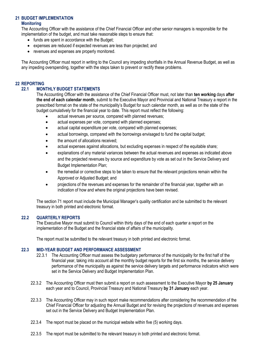### <span id="page-12-1"></span><span id="page-12-0"></span>**21 BUDGET IMPLEMENTATION**

#### **Monitoring**

The Accounting Officer with the assistance of the Chief Financial Officer and other senior managers is responsible for the implementation of the budget, and must take reasonable steps to ensure that:

- funds are spent in accordance with the Budget;
- expenses are reduced if expected revenues are less than projected; and
- revenues and expenses are properly monitored.

The Accounting Officer must report in writing to the Council any impeding shortfalls in the Annual Revenue Budget, as well as any impeding overspending, together with the steps taken to prevent or rectify these problems.

#### <span id="page-12-3"></span><span id="page-12-2"></span>**22 REPORTING**

#### **22.1 MONTHLY BUDGET STATEMENTS**

The Accounting Officer with the assistance of the Chief Financial Officer must, not later than **ten working** days **after the end of each calendar month**, submit to the Executive Mayor and Provincial and National Treasury a report in the prescribed format on the state of the municipality's Budget for such calendar month, as well as on the state of the budget cumulatively for the financial year to date. This report must reflect the following:

- actual revenues per source, compared with planned revenues;
- actual expenses per vote, compared with planned expenses;
- actual capital expenditure per vote, compared with planned expenses;
- actual borrowings, compared with the borrowings envisaged to fund the capital budget;
- the amount of allocations received;
- actual expenses against allocations, but excluding expenses in respect of the equitable share;
- explanations of any material variances between the actual revenues and expenses as indicated above and the projected revenues by source and expenditure by vote as set out in the Service Delivery and Budget Implementation Plan;
- the remedial or corrective steps to be taken to ensure that the relevant projections remain within the Approved or Adjusted Budget; and
- projections of the revenues and expenses for the remainder of the financial year, together with an indication of how and where the original projections have been revised.

The section 71 report must include the Municipal Manager's quality certification and be submitted to the relevant treasury in both printed and electronic format.

#### <span id="page-12-4"></span>**22.2 QUARTERLY REPORTS**

The Executive Mayor must submit to Council within thirty days of the end of each quarter a report on the implementation of the Budget and the financial state of affairs of the municipality.

The report must be submitted to the relevant treasury in both printed and electronic format.

#### <span id="page-12-5"></span>**22.3 MID-YEAR BUDGET AND PERFORMANCE ASSESSMENT**

- 22.3.1 The Accounting Officer must assess the budgetary performance of the municipality for the first half of the financial year, taking into account all the monthly budget reports for the first six months, the service delivery performance of the municipality as against the service delivery targets and performance indicators which were set in the Service Delivery and Budget Implementation Plan.
- 22.3.2 The Accounting Officer must then submit a report on such assessment to the Executive Mayor **by 25 January** each year and to Council, Provincial Treasury and National Treasury **by 31 January** each year.
- 22.3.3 The Accounting Officer may in such report make recommendations after considering the recommendation of the Chief Financial Officer for adjusting the Annual Budget and for revising the projections of revenues and expenses set out in the Service Delivery and Budget Implementation Plan.
- 22.3.4 The report must be placed on the municipal website within five (5) working days.
- 22.3.5 The report must be submitted to the relevant treasury in both printed and electronic format.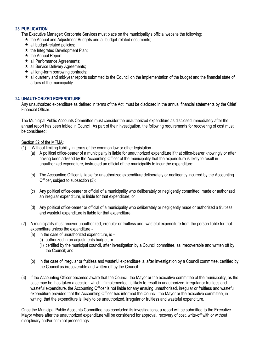#### **23 PUBLICATION**

- The Executive Manager: Corporate Services must place on the municipality's official website the following:
	- $\star$  the Annual and Adjustment Budgets and all budget-related documents;
	- $\star$  all budget-related policies:
	- $\star$  the Integrated Development Plan:
	- $\star$  the Annual Report:
	- **★ all Performance Agreements;**
	- **★ all Service Delivery Agreements;**
	- $\star$  all long-term borrowing contracts;
	- all quarterly and mid-year reports submitted to the Council on the implementation of the budget and the financial state of affairs of the municipality.

#### **24 UNAUTHORIZED EXPENDITURE**

Any unauthorized expenditure as defined in terms of the Act, must be disclosed in the annual financial statements by the Chief Financial Officer.

The Municipal Public Accounts Committee must consider the unauthorized expenditure as disclosed immediately after the annual report has been tabled in Council. As part of their investigation, the following requirements for recovering of cost must be considered:

#### Section 32 of the MFMA:

- Without limiting liability in terms of the common law or other legislation -
	- (a) A political office-bearer of a municipality is liable for unauthorized expenditure if that office-bearer knowingly or after having been advised by the Accounting Officer of the municipality that the expenditure is likely to result in unauthorized expenditure, instructed an official of the municipality to incur the expenditure;
	- (b) The Accounting Officer is liable for unauthorized expenditure deliberately or negligently incurred by the Accounting Officer, subject to subsection (3);
	- (c) Any political office-bearer or official of a municipality who deliberately or negligently committed, made or authorized an irregular expenditure, is liable for that expenditure; or
	- (d) Any political office-bearer or official of a municipality who deliberately or negligently made or authorized a fruitless and wasteful expenditure is liable for that expenditure.
- (2) A municipality must recover unauthorized, irregular or fruitless and wasteful expenditure from the person liable for that expenditure unless the expenditure -
	- (a) In the case of unauthorized expenditure, is  $-$ 
		- (i) authorized in an adjustments budget; or
		- (ii) certified by the municipal council, after investigation by a Council committee, as irrecoverable and written off by the Council; and
	- (b) In the case of irregular or fruitless and wasteful expenditure,is, after investigation by a Council committee, certified by the Council as irrecoverable and written off by the Council.
- (3) If the Accounting Officer becomes aware that the Council, the Mayor or the executive committee of the municipality, as the case may be, has taken a decision which, if implemented, is likely to result in unauthorized, irregular or fruitless and wasteful expenditure, the Accounting Officer is not liable for any ensuing unauthorized, irregular or fruitless and wasteful expenditure provided that the Accounting Officer has informed the Council, the Mayor or the executive committee, in writing, that the expenditure is likely to be unauthorized, irregular or fruitless and wasteful expenditure.

Once the Municipal Public Accounts Committee has concluded its investigations, a report will be submitted to the Executive Mayor where after the unauthorized expenditure will be considered for approval, recovery of cost, write-off with or without disciplinary and/or criminal proceedings.